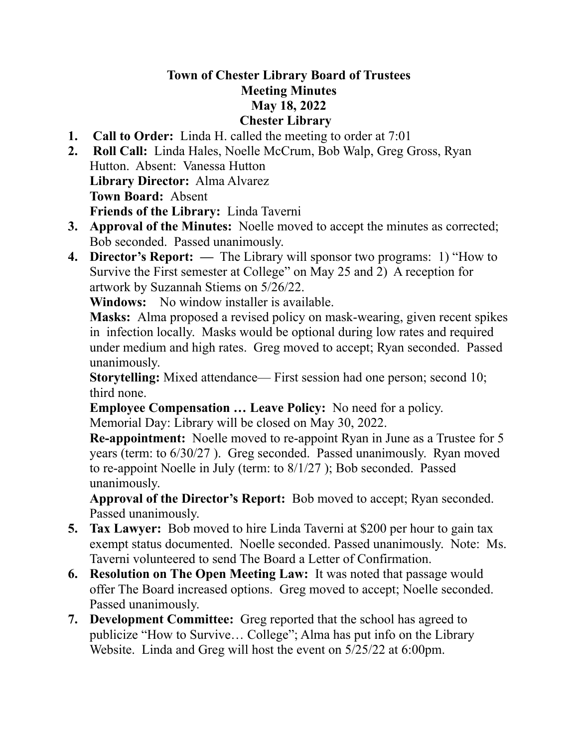## **Town of Chester Library Board of Trustees Meeting Minutes May 18, 2022 Chester Library**

- **1. Call to Order:** Linda H. called the meeting to order at 7:01
- **2. Roll Call:** Linda Hales, Noelle McCrum, Bob Walp, Greg Gross, Ryan Hutton. Absent: Vanessa Hutton **Library Director:** Alma Alvarez **Town Board:** Absent **Friends of the Library:** Linda Taverni
- **3. Approval of the Minutes:** Noelle moved to accept the minutes as corrected; Bob seconded. Passed unanimously.
- **4. Director's Report: —** The Library will sponsor two programs: 1) "How to Survive the First semester at College" on May 25 and 2) A reception for artwork by Suzannah Stiems on 5/26/22.

**Windows:** No window installer is available.

**Masks:** Alma proposed a revised policy on mask-wearing, given recent spikes in infection locally. Masks would be optional during low rates and required under medium and high rates. Greg moved to accept; Ryan seconded. Passed unanimously.

**Storytelling:** Mixed attendance— First session had one person; second 10; third none.

**Employee Compensation … Leave Policy:** No need for a policy. Memorial Day: Library will be closed on May 30, 2022.

**Re-appointment:** Noelle moved to re-appoint Ryan in June as a Trustee for 5 years (term: to 6/30/27 ). Greg seconded. Passed unanimously. Ryan moved to re-appoint Noelle in July (term: to 8/1/27 ); Bob seconded. Passed unanimously.

**Approval of the Director's Report:** Bob moved to accept; Ryan seconded. Passed unanimously.

- **5. Tax Lawyer:** Bob moved to hire Linda Taverni at \$200 per hour to gain tax exempt status documented. Noelle seconded. Passed unanimously. Note: Ms. Taverni volunteered to send The Board a Letter of Confirmation.
- **6. Resolution on The Open Meeting Law:** It was noted that passage would offer The Board increased options. Greg moved to accept; Noelle seconded. Passed unanimously.
- **7. Development Committee:** Greg reported that the school has agreed to publicize "How to Survive… College"; Alma has put info on the Library Website. Linda and Greg will host the event on 5/25/22 at 6:00pm.